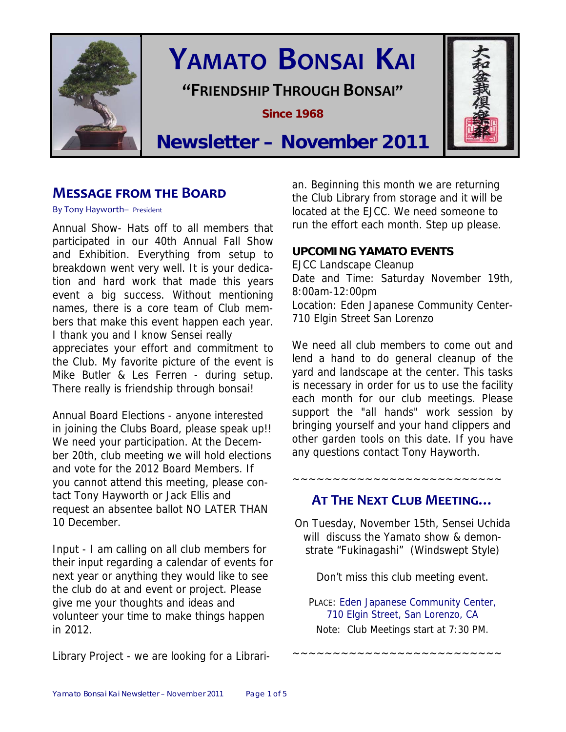

# **YAMATO BONSAI KAI**

**"FRIENDSHIP THROUGH BONSAI"**

**Since 1968** 



## **Newsletter – November 2011**

## **MESSAGE FROM THE BOARD**

By Tony Hayworth– President

Annual Show- Hats off to all members that participated in our 40th Annual Fall Show and Exhibition. Everything from setup to breakdown went very well. It is your dedication and hard work that made this years event a big success. Without mentioning names, there is a core team of Club members that make this event happen each year. I thank you and I know Sensei really appreciates your effort and commitment to the Club. My favorite picture of the event is Mike Butler & Les Ferren - during setup. There really is friendship through bonsai!

Annual Board Elections - anyone interested in joining the Clubs Board, please speak up!! We need your participation. At the December 20th, club meeting we will hold elections and vote for the 2012 Board Members. If you cannot attend this meeting, please contact Tony Hayworth or Jack Ellis and request an absentee ballot NO LATER THAN 10 December.

Input - I am calling on all club members for their input regarding a calendar of events for next year or anything they would like to see the club do at and event or project. Please give me your thoughts and ideas and volunteer your time to make things happen in 2012.

an. Beginning this month we are returning the Club Library from storage and it will be located at the EJCC. We need someone to run the effort each month. Step up please.

## **UPCOMING YAMATO EVENTS**

EJCC Landscape Cleanup Date and Time: Saturday November 19th, 8:00am-12:00pm Location: Eden Japanese Community Center-710 Elgin Street San Lorenzo

We need all club members to come out and lend a hand to do general cleanup of the yard and landscape at the center. This tasks is necessary in order for us to use the facility each month for our club meetings. Please support the "all hands" work session by bringing yourself and your hand clippers and other garden tools on this date. If you have any questions contact Tony Hayworth.

## **AT THE NEXT CLUB MEETING…**

~~~~~~~~~~~~~~~~~~~~~~~~~~

On Tuesday, November 15th, Sensei Uchida will discuss the Yamato show & demonstrate "Fukinagashi" (Windswept Style)

Don't miss this club meeting event.

PLACE: Eden Japanese Community Center, 710 Elgin Street, San Lorenzo, CA Note: Club Meetings start at 7:30 PM.

~~~~~~~~~~~~~~~~~~~~~~~~~~

Library Project - we are looking for a Librari-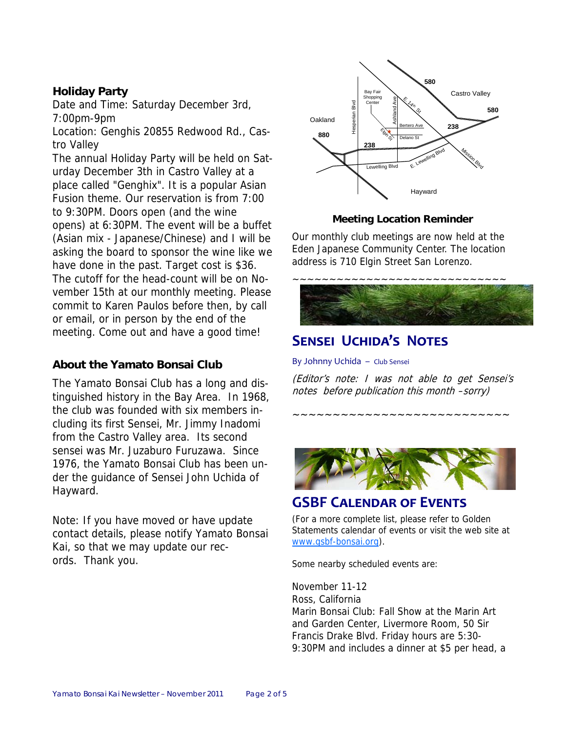## **Holiday Party**

Date and Time: Saturday December 3rd, 7:00pm-9pm

Location: Genghis 20855 Redwood Rd., Castro Valley

The annual Holiday Party will be held on Saturday December 3th in Castro Valley at a place called "Genghix". It is a popular Asian Fusion theme. Our reservation is from 7:00 to 9:30PM. Doors open (and the wine opens) at 6:30PM. The event will be a buffet (Asian mix - Japanese/Chinese) and I will be asking the board to sponsor the wine like we have done in the past. Target cost is \$36. The cutoff for the head-count will be on November 15th at our monthly meeting. Please commit to Karen Paulos before then, by call or email, or in person by the end of the meeting. Come out and have a good time!

## **About the Yamato Bonsai Club**

The Yamato Bonsai Club has a long and distinguished history in the Bay Area. In 1968, the club was founded with six members including its first Sensei, Mr. Jimmy Inadomi from the Castro Valley area. Its second sensei was Mr. Juzaburo Furuzawa. Since 1976, the Yamato Bonsai Club has been under the guidance of Sensei John Uchida of Hayward.

Note: If you have moved or have update contact details, please notify Yamato Bonsai Kai, so that we may update our records. Thank you.



#### **Meeting Location Reminder**

Our monthly club meetings are now held at the Eden Japanese Community Center. The location address is 710 Elgin Street San Lorenzo.



## **SENSEI UCHIDA'S NOTES**

By Johnny Uchida – Club Sensei

(Editor's note: I was not able to get Sensei's notes before publication this month –sorry)

~~~~~~~~~~~~~~~~~~~~~~~~~~~



## **GSBF CALENDAR OF EVENTS**

(For a more complete list, please refer to Golden Statements calendar of events or visit the web site at www.gsbf-bonsai.org).

Some nearby scheduled events are:

November 11-12 Ross, California Marin Bonsai Club: Fall Show at the Marin Art and Garden Center, Livermore Room, 50 Sir Francis Drake Blvd. Friday hours are 5:30- 9:30PM and includes a dinner at \$5 per head, a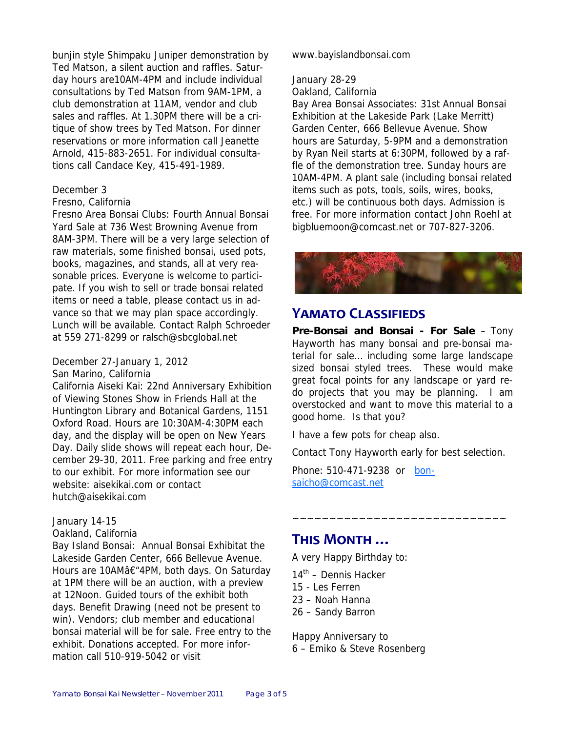bunjin style Shimpaku Juniper demonstration by Ted Matson, a silent auction and raffles. Saturday hours are10AM-4PM and include individual consultations by Ted Matson from 9AM-1PM, a club demonstration at 11AM, vendor and club sales and raffles. At 1.30PM there will be a critique of show trees by Ted Matson. For dinner reservations or more information call Jeanette Arnold, 415-883-2651. For individual consultations call Candace Key, 415-491-1989.

#### December 3

#### Fresno, California

Fresno Area Bonsai Clubs: Fourth Annual Bonsai Yard Sale at 736 West Browning Avenue from 8AM-3PM. There will be a very large selection of raw materials, some finished bonsai, used pots, books, magazines, and stands, all at very reasonable prices. Everyone is welcome to participate. If you wish to sell or trade bonsai related items or need a table, please contact us in advance so that we may plan space accordingly. Lunch will be available. Contact Ralph Schroeder at 559 271-8299 or ralsch@sbcglobal.net

#### December 27-January 1, 2012

San Marino, California

California Aiseki Kai: 22nd Anniversary Exhibition of Viewing Stones Show in Friends Hall at the Huntington Library and Botanical Gardens, 1151 Oxford Road. Hours are 10:30AM-4:30PM each day, and the display will be open on New Years Day. Daily slide shows will repeat each hour, December 29-30, 2011. Free parking and free entry to our exhibit. For more information see our website: aisekikai.com or contact hutch@aisekikai.com

#### January 14-15

Oakland, California

Bay Island Bonsai: Annual Bonsai Exhibitat the Lakeside Garden Center, 666 Bellevue Avenue. Hours are 10AMâ€"4PM, both days. On Saturday at 1PM there will be an auction, with a preview at 12Noon. Guided tours of the exhibit both days. Benefit Drawing (need not be present to win). Vendors; club member and educational bonsai material will be for sale. Free entry to the exhibit. Donations accepted. For more information call 510-919-5042 or visit

#### www.bayislandbonsai.com

#### January 28-29

Oakland, California

Bay Area Bonsai Associates: 31st Annual Bonsai Exhibition at the Lakeside Park (Lake Merritt) Garden Center, 666 Bellevue Avenue. Show hours are Saturday, 5-9PM and a demonstration by Ryan Neil starts at 6:30PM, followed by a raffle of the demonstration tree. Sunday hours are 10AM-4PM. A plant sale (including bonsai related items such as pots, tools, soils, wires, books, etc.) will be continuous both days. Admission is free. For more information contact John Roehl at bigbluemoon@comcast.net or 707-827-3206.



## **YAMATO CLASSIFIEDS**

**Pre-Bonsai and Bonsai - For Sale** – Tony Hayworth has many bonsai and pre-bonsai material for sale… including some large landscape sized bonsai styled trees. These would make great focal points for any landscape or yard redo projects that you may be planning. I am overstocked and want to move this material to a good home. Is that you?

I have a few pots for cheap also.

Contact Tony Hayworth early for best selection.

~~~~~~~~~~~~~~~~~~~~~~~~~~~~~

Phone: 510-471-9238 or bonsaicho@comcast.net

## **THIS MONTH …**

A very Happy Birthday to:

- $14<sup>th</sup>$  Dennis Hacker
- 15 Les Ferren
- 23 Noah Hanna
- 26 Sandy Barron

Happy Anniversary to 6 – Emiko & Steve Rosenberg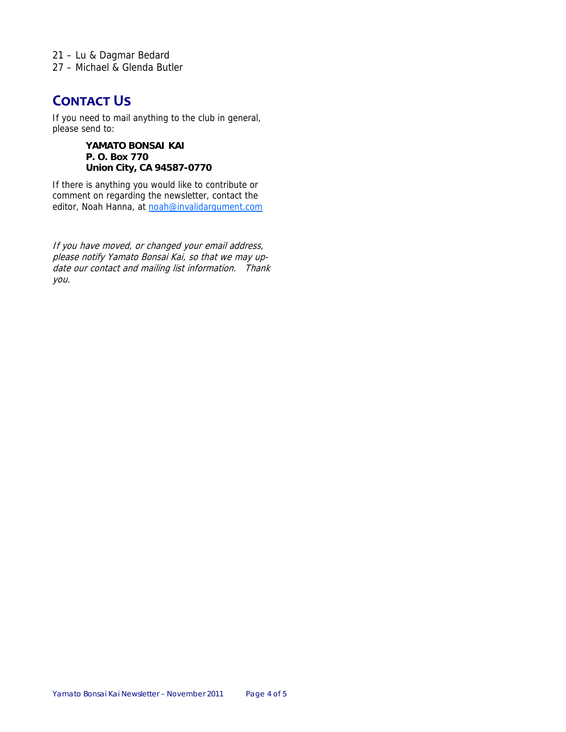21 – Lu & Dagmar Bedard 27 – Michael & Glenda Butler

## **CONTACT US**

If you need to mail anything to the club in general, please send to:

> **YAMATO BONSAI KAI P. O. Box 770 Union City, CA 94587-0770**

If there is anything you would like to contribute or comment on regarding the newsletter, contact the editor, Noah Hanna, at noah@invalidargument.com

If you have moved, or changed your email address, please notify Yamato Bonsai Kai, so that we may update our contact and mailing list information. Thank you.